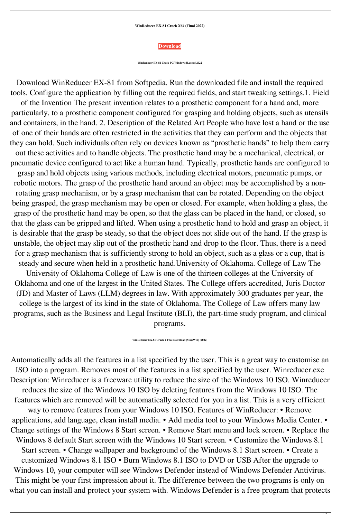**WinReducer EX-81 Crack X64 (Final 2022)**



**WinReducer EX-81 Crack PC/Windows [Latest] 2022**

Download WinReducer EX-81 from Softpedia. Run the downloaded file and install the required tools. Configure the application by filling out the required fields, and start tweaking settings.1. Field of the Invention The present invention relates to a prosthetic component for a hand and, more particularly, to a prosthetic component configured for grasping and holding objects, such as utensils and containers, in the hand. 2. Description of the Related Art People who have lost a hand or the use of one of their hands are often restricted in the activities that they can perform and the objects that they can hold. Such individuals often rely on devices known as "prosthetic hands" to help them carry out these activities and to handle objects. The prosthetic hand may be a mechanical, electrical, or pneumatic device configured to act like a human hand. Typically, prosthetic hands are configured to grasp and hold objects using various methods, including electrical motors, pneumatic pumps, or robotic motors. The grasp of the prosthetic hand around an object may be accomplished by a nonrotating grasp mechanism, or by a grasp mechanism that can be rotated. Depending on the object being grasped, the grasp mechanism may be open or closed. For example, when holding a glass, the grasp of the prosthetic hand may be open, so that the glass can be placed in the hand, or closed, so that the glass can be gripped and lifted. When using a prosthetic hand to hold and grasp an object, it is desirable that the grasp be steady, so that the object does not slide out of the hand. If the grasp is unstable, the object may slip out of the prosthetic hand and drop to the floor. Thus, there is a need for a grasp mechanism that is sufficiently strong to hold an object, such as a glass or a cup, that is steady and secure when held in a prosthetic hand.University of Oklahoma. College of Law The University of Oklahoma College of Law is one of the thirteen colleges at the University of Oklahoma and one of the largest in the United States. The College offers accredited, Juris Doctor (JD) and Master of Laws (LLM) degrees in law. With approximately 300 graduates per year, the college is the largest of its kind in the state of Oklahoma. The College of Law offers many law programs, such as the Business and Legal Institute (BLI), the part-time study program, and clinical programs.

**WinReducer EX-81 Crack + Free Download [Mac/Win] (2022)**

Automatically adds all the features in a list specified by the user. This is a great way to customise an ISO into a program. Removes most of the features in a list specified by the user. Winreducer.exe Description: Winreducer is a freeware utility to reduce the size of the Windows 10 ISO. Winreducer reduces the size of the Windows 10 ISO by deleting features from the Windows 10 ISO. The features which are removed will be automatically selected for you in a list. This is a very efficient way to remove features from your Windows 10 ISO. Features of WinReducer: • Remove applications, add language, clean install media. • Add media tool to your Windows Media Center. • Change settings of the Windows 8 Start screen. • Remove Start menu and lock screen. • Replace the Windows 8 default Start screen with the Windows 10 Start screen. • Customize the Windows 8.1 Start screen. • Change wallpaper and background of the Windows 8.1 Start screen. • Create a customized Windows 8.1 ISO • Burn Windows 8.1 ISO to DVD or USB After the upgrade to Windows 10, your computer will see Windows Defender instead of Windows Defender Antivirus. This might be your first impression about it. The difference between the two programs is only on what you can install and protect your system with. Windows Defender is a free program that protects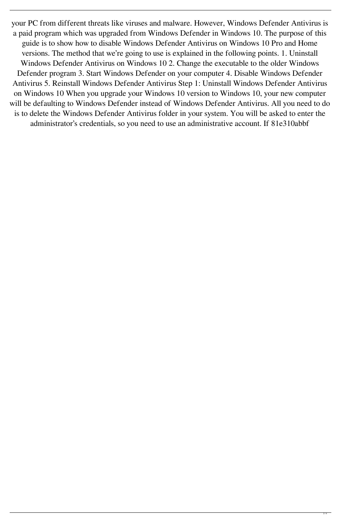your PC from different threats like viruses and malware. However, Windows Defender Antivirus is a paid program which was upgraded from Windows Defender in Windows 10. The purpose of this guide is to show how to disable Windows Defender Antivirus on Windows 10 Pro and Home versions. The method that we're going to use is explained in the following points. 1. Uninstall Windows Defender Antivirus on Windows 10 2. Change the executable to the older Windows Defender program 3. Start Windows Defender on your computer 4. Disable Windows Defender Antivirus 5. Reinstall Windows Defender Antivirus Step 1: Uninstall Windows Defender Antivirus on Windows 10 When you upgrade your Windows 10 version to Windows 10, your new computer will be defaulting to Windows Defender instead of Windows Defender Antivirus. All you need to do is to delete the Windows Defender Antivirus folder in your system. You will be asked to enter the administrator's credentials, so you need to use an administrative account. If 81e310abbf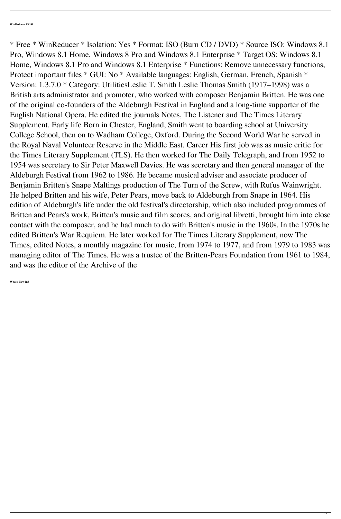\* Free \* WinReducer \* Isolation: Yes \* Format: ISO (Burn CD / DVD) \* Source ISO: Windows 8.1 Pro, Windows 8.1 Home, Windows 8 Pro and Windows 8.1 Enterprise \* Target OS: Windows 8.1 Home, Windows 8.1 Pro and Windows 8.1 Enterprise \* Functions: Remove unnecessary functions, Protect important files \* GUI: No \* Available languages: English, German, French, Spanish \* Version: 1.3.7.0 \* Category: UtilitiesLeslie T. Smith Leslie Thomas Smith (1917–1998) was a British arts administrator and promoter, who worked with composer Benjamin Britten. He was one of the original co-founders of the Aldeburgh Festival in England and a long-time supporter of the English National Opera. He edited the journals Notes, The Listener and The Times Literary Supplement. Early life Born in Chester, England, Smith went to boarding school at University College School, then on to Wadham College, Oxford. During the Second World War he served in the Royal Naval Volunteer Reserve in the Middle East. Career His first job was as music critic for the Times Literary Supplement (TLS). He then worked for The Daily Telegraph, and from 1952 to 1954 was secretary to Sir Peter Maxwell Davies. He was secretary and then general manager of the Aldeburgh Festival from 1962 to 1986. He became musical adviser and associate producer of Benjamin Britten's Snape Maltings production of The Turn of the Screw, with Rufus Wainwright. He helped Britten and his wife, Peter Pears, move back to Aldeburgh from Snape in 1964. His edition of Aldeburgh's life under the old festival's directorship, which also included programmes of Britten and Pears's work, Britten's music and film scores, and original libretti, brought him into close contact with the composer, and he had much to do with Britten's music in the 1960s. In the 1970s he edited Britten's War Requiem. He later worked for The Times Literary Supplement, now The Times, edited Notes, a monthly magazine for music, from 1974 to 1977, and from 1979 to 1983 was managing editor of The Times. He was a trustee of the Britten-Pears Foundation from 1961 to 1984, and was the editor of the Archive of the

**What's New In?**